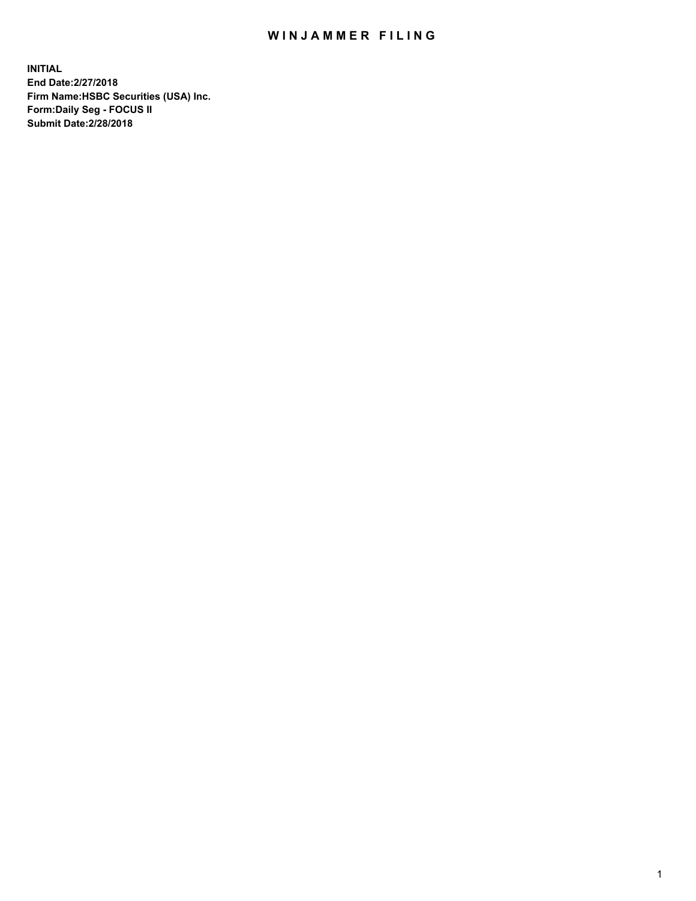## WIN JAMMER FILING

**INITIAL End Date:2/27/2018 Firm Name:HSBC Securities (USA) Inc. Form:Daily Seg - FOCUS II Submit Date:2/28/2018**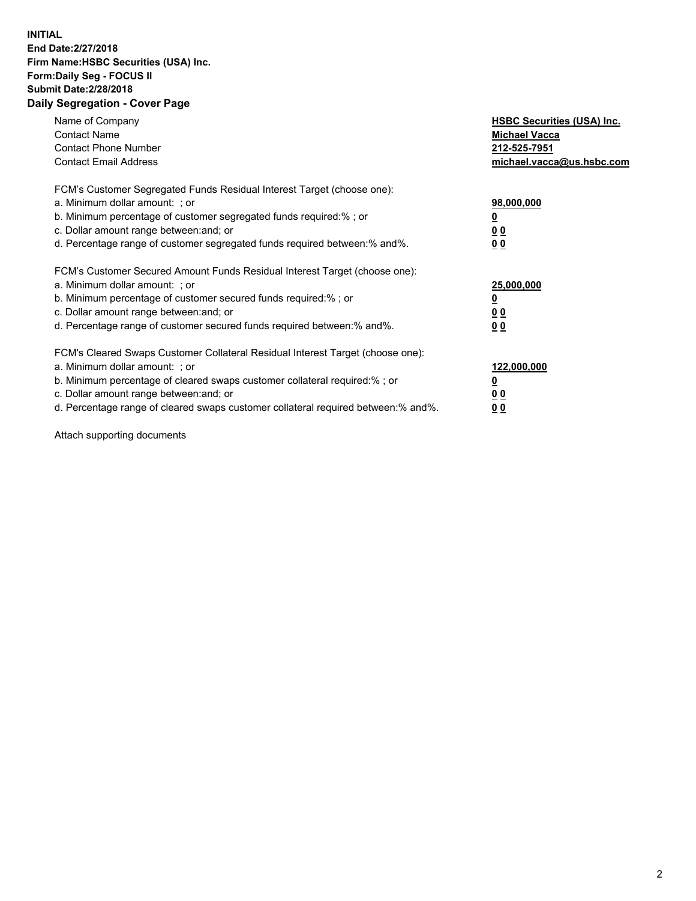## **INITIAL End Date:2/27/2018 Firm Name:HSBC Securities (USA) Inc. Form:Daily Seg - FOCUS II Submit Date:2/28/2018 Daily Segregation - Cover Page**

| Name of Company<br><b>Contact Name</b><br><b>Contact Phone Number</b><br><b>Contact Email Address</b>                                                                                                                                                                                                                         | <b>HSBC Securities (USA) Inc.</b><br><b>Michael Vacca</b><br>212-525-7951<br>michael.vacca@us.hsbc.com |
|-------------------------------------------------------------------------------------------------------------------------------------------------------------------------------------------------------------------------------------------------------------------------------------------------------------------------------|--------------------------------------------------------------------------------------------------------|
| FCM's Customer Segregated Funds Residual Interest Target (choose one):<br>a. Minimum dollar amount: ; or<br>b. Minimum percentage of customer segregated funds required:%; or<br>c. Dollar amount range between: and; or<br>d. Percentage range of customer segregated funds required between: % and %.                       | 98,000,000<br><u>0</u><br><u>00</u><br><u>00</u>                                                       |
| FCM's Customer Secured Amount Funds Residual Interest Target (choose one):<br>a. Minimum dollar amount: ; or<br>b. Minimum percentage of customer secured funds required:%; or<br>c. Dollar amount range between: and; or<br>d. Percentage range of customer secured funds required between: % and %.                         | 25,000,000<br><u>0</u><br><u>00</u><br>00                                                              |
| FCM's Cleared Swaps Customer Collateral Residual Interest Target (choose one):<br>a. Minimum dollar amount: ; or<br>b. Minimum percentage of cleared swaps customer collateral required:%; or<br>c. Dollar amount range between: and; or<br>d. Percentage range of cleared swaps customer collateral required between:% and%. | 122,000,000<br><u>0</u><br><u>00</u><br><u>00</u>                                                      |

Attach supporting documents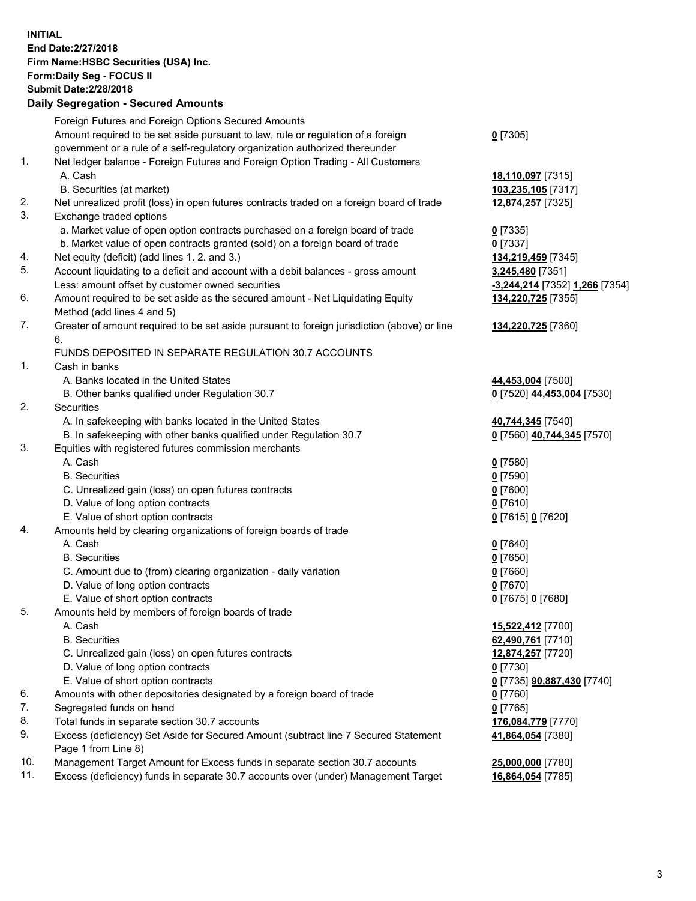**INITIAL End Date:2/27/2018 Firm Name:HSBC Securities (USA) Inc. Form:Daily Seg - FOCUS II Submit Date:2/28/2018 Daily Segregation - Secured Amounts**

Foreign Futures and Foreign Options Secured Amounts Amount required to be set aside pursuant to law, rule or regulation of a foreign government or a rule of a self-regulatory organization authorized thereunder **0** [7305] 1. Net ledger balance - Foreign Futures and Foreign Option Trading - All Customers A. Cash **18,110,097** [7315] B. Securities (at market) **103,235,105** [7317] 2. Net unrealized profit (loss) in open futures contracts traded on a foreign board of trade **12,874,257** [7325] 3. Exchange traded options a. Market value of open option contracts purchased on a foreign board of trade **0** [7335] b. Market value of open contracts granted (sold) on a foreign board of trade **0** [7337] 4. Net equity (deficit) (add lines 1. 2. and 3.) **134,219,459** [7345] 5. Account liquidating to a deficit and account with a debit balances - gross amount **3,245,480** [7351] Less: amount offset by customer owned securities **-3,244,214** [7352] **1,266** [7354] 6. Amount required to be set aside as the secured amount - Net Liquidating Equity Method (add lines 4 and 5) **134,220,725** [7355] 7. Greater of amount required to be set aside pursuant to foreign jurisdiction (above) or line 6. **134,220,725** [7360] FUNDS DEPOSITED IN SEPARATE REGULATION 30.7 ACCOUNTS 1. Cash in banks A. Banks located in the United States **44,453,004** [7500] B. Other banks qualified under Regulation 30.7 **0** [7520] **44,453,004** [7530] 2. Securities A. In safekeeping with banks located in the United States **40,744,345** [7540] B. In safekeeping with other banks qualified under Regulation 30.7 **0** [7560] **40,744,345** [7570] 3. Equities with registered futures commission merchants A. Cash **0** [7580] B. Securities **0** [7590] C. Unrealized gain (loss) on open futures contracts **0** [7600] D. Value of long option contracts **0** [7610] E. Value of short option contracts **0** [7615] **0** [7620] 4. Amounts held by clearing organizations of foreign boards of trade A. Cash **0** [7640] B. Securities **0** [7650] C. Amount due to (from) clearing organization - daily variation **0** [7660] D. Value of long option contracts **0** [7670] E. Value of short option contracts **0** [7675] **0** [7680] 5. Amounts held by members of foreign boards of trade A. Cash **15,522,412** [7700] B. Securities **62,490,761** [7710] C. Unrealized gain (loss) on open futures contracts **12,874,257** [7720] D. Value of long option contracts **0** [7730] E. Value of short option contracts **0** [7735] **90,887,430** [7740] 6. Amounts with other depositories designated by a foreign board of trade **0** [7760] 7. Segregated funds on hand **0** [7765] 8. Total funds in separate section 30.7 accounts **176,084,779** [7770] 9. Excess (deficiency) Set Aside for Secured Amount (subtract line 7 Secured Statement Page 1 from Line 8) **41,864,054** [7380] 10. Management Target Amount for Excess funds in separate section 30.7 accounts **25,000,000** [7780] 11. Excess (deficiency) funds in separate 30.7 accounts over (under) Management Target **16,864,054** [7785]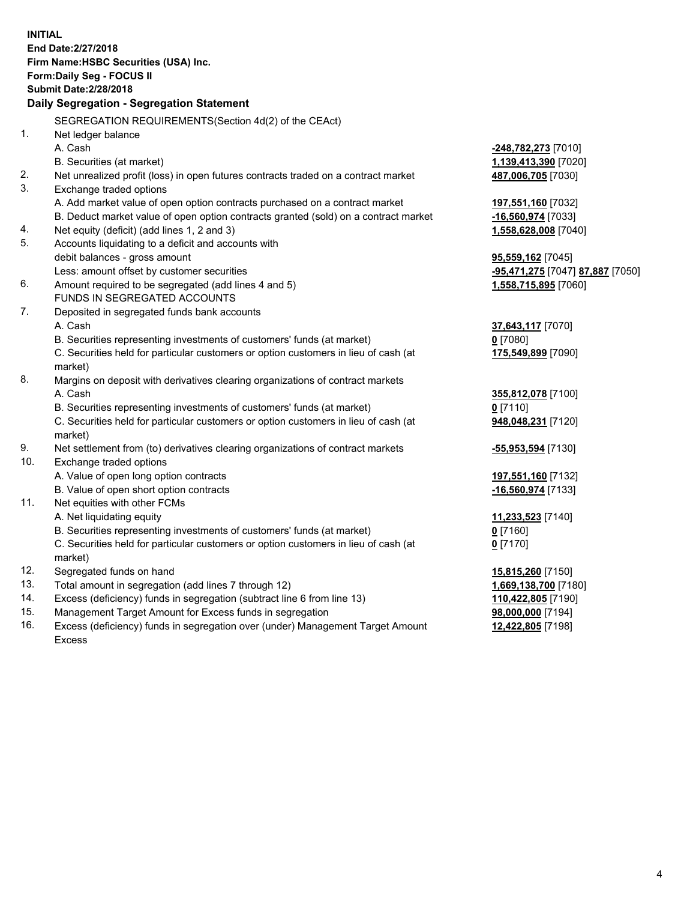| <b>INITIAL</b>                        |                                                                                     |                                  |  |  |  |
|---------------------------------------|-------------------------------------------------------------------------------------|----------------------------------|--|--|--|
| End Date: 2/27/2018                   |                                                                                     |                                  |  |  |  |
| Firm Name: HSBC Securities (USA) Inc. |                                                                                     |                                  |  |  |  |
| Form: Daily Seg - FOCUS II            |                                                                                     |                                  |  |  |  |
| <b>Submit Date: 2/28/2018</b>         |                                                                                     |                                  |  |  |  |
|                                       | Daily Segregation - Segregation Statement                                           |                                  |  |  |  |
|                                       |                                                                                     |                                  |  |  |  |
|                                       | SEGREGATION REQUIREMENTS(Section 4d(2) of the CEAct)                                |                                  |  |  |  |
| 1.                                    | Net ledger balance                                                                  |                                  |  |  |  |
|                                       | A. Cash                                                                             | -248,782,273 [7010]              |  |  |  |
|                                       | B. Securities (at market)                                                           | 1,139,413,390 [7020]             |  |  |  |
| 2.                                    | Net unrealized profit (loss) in open futures contracts traded on a contract market  | 487,006,705 [7030]               |  |  |  |
| 3.                                    | Exchange traded options                                                             |                                  |  |  |  |
|                                       | A. Add market value of open option contracts purchased on a contract market         | 197,551,160 [7032]               |  |  |  |
|                                       | B. Deduct market value of open option contracts granted (sold) on a contract market | -16,560,974 [7033]               |  |  |  |
| 4.                                    | Net equity (deficit) (add lines 1, 2 and 3)                                         | 1,558,628,008 [7040]             |  |  |  |
| 5.                                    | Accounts liquidating to a deficit and accounts with                                 |                                  |  |  |  |
|                                       | debit balances - gross amount                                                       | 95,559,162 [7045]                |  |  |  |
|                                       | Less: amount offset by customer securities                                          | -95,471,275 [7047] 87,887 [7050] |  |  |  |
| 6.                                    | Amount required to be segregated (add lines 4 and 5)                                | 1,558,715,895 [7060]             |  |  |  |
|                                       | FUNDS IN SEGREGATED ACCOUNTS                                                        |                                  |  |  |  |
| 7.                                    | Deposited in segregated funds bank accounts                                         |                                  |  |  |  |
|                                       | A. Cash                                                                             | 37,643,117 [7070]                |  |  |  |
|                                       | B. Securities representing investments of customers' funds (at market)              | $0$ [7080]                       |  |  |  |
|                                       | C. Securities held for particular customers or option customers in lieu of cash (at | 175,549,899 [7090]               |  |  |  |
|                                       | market)                                                                             |                                  |  |  |  |
| 8.                                    | Margins on deposit with derivatives clearing organizations of contract markets      |                                  |  |  |  |
|                                       | A. Cash                                                                             | 355,812,078 [7100]               |  |  |  |
|                                       | B. Securities representing investments of customers' funds (at market)              | $0$ [7110]                       |  |  |  |
|                                       | C. Securities held for particular customers or option customers in lieu of cash (at | 948,048,231 [7120]               |  |  |  |
|                                       | market)                                                                             |                                  |  |  |  |
| 9.                                    | Net settlement from (to) derivatives clearing organizations of contract markets     | -55,953,594 [7130]               |  |  |  |
| 10.                                   | Exchange traded options                                                             |                                  |  |  |  |
|                                       | A. Value of open long option contracts                                              | 197,551,160 [7132]               |  |  |  |
|                                       | B. Value of open short option contracts                                             | -16,560,974 [7133]               |  |  |  |
| 11.                                   | Net equities with other FCMs                                                        |                                  |  |  |  |
|                                       | A. Net liquidating equity                                                           | 11,233,523 [7140]                |  |  |  |
|                                       | B. Securities representing investments of customers' funds (at market)              | $0$ [7160]                       |  |  |  |
|                                       | C. Securities held for particular customers or option customers in lieu of cash (at | $0$ [7170]                       |  |  |  |
|                                       | market)                                                                             |                                  |  |  |  |
| 12.                                   | Segregated funds on hand                                                            | 15,815,260 [7150]                |  |  |  |
| 13.                                   | Total amount in segregation (add lines 7 through 12)                                | 1,669,138,700 [7180]             |  |  |  |
| 14.                                   | Excess (deficiency) funds in segregation (subtract line 6 from line 13)             | 110,422,805 [7190]               |  |  |  |
| 15.                                   | Management Target Amount for Excess funds in segregation                            | 98,000,000 [7194]                |  |  |  |
| 16.                                   | Excess (deficiency) funds in segregation over (under) Management Target Amount      | 12,422,805 [7198]                |  |  |  |
|                                       |                                                                                     |                                  |  |  |  |

Excess